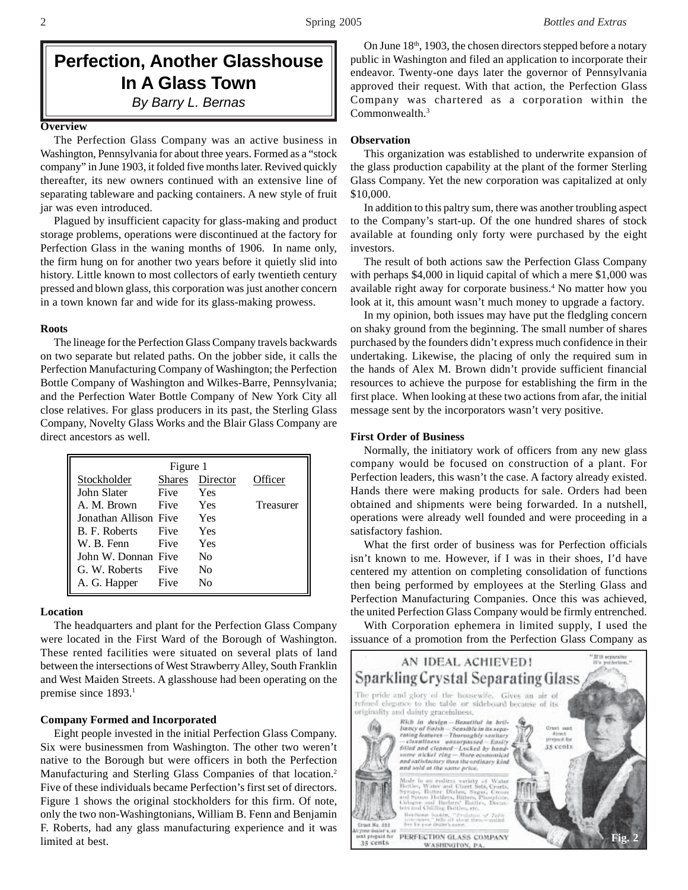# **Perfection, Another Glasshouse In A Glass Town** *By Barry L. Bernas*

#### **Overview**

The Perfection Glass Company was an active business in Washington, Pennsylvania for about three years. Formed as a "stock company" in June 1903, it folded five months later. Revived quickly thereafter, its new owners continued with an extensive line of separating tableware and packing containers. A new style of fruit jar was even introduced.

Plagued by insufficient capacity for glass-making and product storage problems, operations were discontinued at the factory for Perfection Glass in the waning months of 1906. In name only, the firm hung on for another two years before it quietly slid into history. Little known to most collectors of early twentieth century pressed and blown glass, this corporation was just another concern in a town known far and wide for its glass-making prowess.

#### **Roots**

The lineage for the Perfection Glass Company travels backwards on two separate but related paths. On the jobber side, it calls the Perfection Manufacturing Company of Washington; the Perfection Bottle Company of Washington and Wilkes-Barre, Pennsylvania; and the Perfection Water Bottle Company of New York City all close relatives. For glass producers in its past, the Sterling Glass Company, Novelty Glass Works and the Blair Glass Company are direct ancestors as well.

| Figure 1              |               |          |           |  |
|-----------------------|---------------|----------|-----------|--|
| Stockholder           | <b>Shares</b> | Director | Officer   |  |
| John Slater           | Five          | Yes      |           |  |
| A. M. Brown           | <b>Five</b>   | Yes      | Treasurer |  |
| Jonathan Allison Five |               | Yes      |           |  |
| B. F. Roberts         | Five          | Yes      |           |  |
| W. B. Fenn            | Five          | Yes      |           |  |
| John W. Donnan Five   |               | Nο       |           |  |
| G. W. Roberts         | Five          | Nο       |           |  |
| A. G. Happer          | Five          | N٥       |           |  |

#### **Location**

The headquarters and plant for the Perfection Glass Company were located in the First Ward of the Borough of Washington. These rented facilities were situated on several plats of land between the intersections of West Strawberry Alley, South Franklin and West Maiden Streets. A glasshouse had been operating on the premise since 1893.<sup>1</sup>

#### **Company Formed and Incorporated**

Eight people invested in the initial Perfection Glass Company. Six were businessmen from Washington. The other two weren't native to the Borough but were officers in both the Perfection Manufacturing and Sterling Glass Companies of that location.2 Five of these individuals became Perfection's first set of directors. Figure 1 shows the original stockholders for this firm. Of note, only the two non-Washingtonians, William B. Fenn and Benjamin F. Roberts, had any glass manufacturing experience and it was limited at best.

On June  $18<sup>th</sup>$ , 1903, the chosen directors stepped before a notary public in Washington and filed an application to incorporate their endeavor. Twenty-one days later the governor of Pennsylvania approved their request. With that action, the Perfection Glass Company was chartered as a corporation within the Commonwealth.<sup>3</sup>

#### **Observation**

This organization was established to underwrite expansion of the glass production capability at the plant of the former Sterling Glass Company. Yet the new corporation was capitalized at only \$10,000.

In addition to this paltry sum, there was another troubling aspect to the Company's start-up. Of the one hundred shares of stock available at founding only forty were purchased by the eight investors.

The result of both actions saw the Perfection Glass Company with perhaps \$4,000 in liquid capital of which a mere \$1,000 was available right away for corporate business.4 No matter how you look at it, this amount wasn't much money to upgrade a factory.

In my opinion, both issues may have put the fledgling concern on shaky ground from the beginning. The small number of shares purchased by the founders didn't express much confidence in their undertaking. Likewise, the placing of only the required sum in the hands of Alex M. Brown didn't provide sufficient financial resources to achieve the purpose for establishing the firm in the first place. When looking at these two actions from afar, the initial message sent by the incorporators wasn't very positive.

# **First Order of Business**

Normally, the initiatory work of officers from any new glass company would be focused on construction of a plant. For Perfection leaders, this wasn't the case. A factory already existed. Hands there were making products for sale. Orders had been obtained and shipments were being forwarded. In a nutshell, operations were already well founded and were proceeding in a satisfactory fashion.

What the first order of business was for Perfection officials isn't known to me. However, if I was in their shoes, I'd have centered my attention on completing consolidation of functions then being performed by employees at the Sterling Glass and Perfection Manufacturing Companies. Once this was achieved, the united Perfection Glass Company would be firmly entrenched.

With Corporation ephemera in limited supply, I used the issuance of a promotion from the Perfection Glass Company as

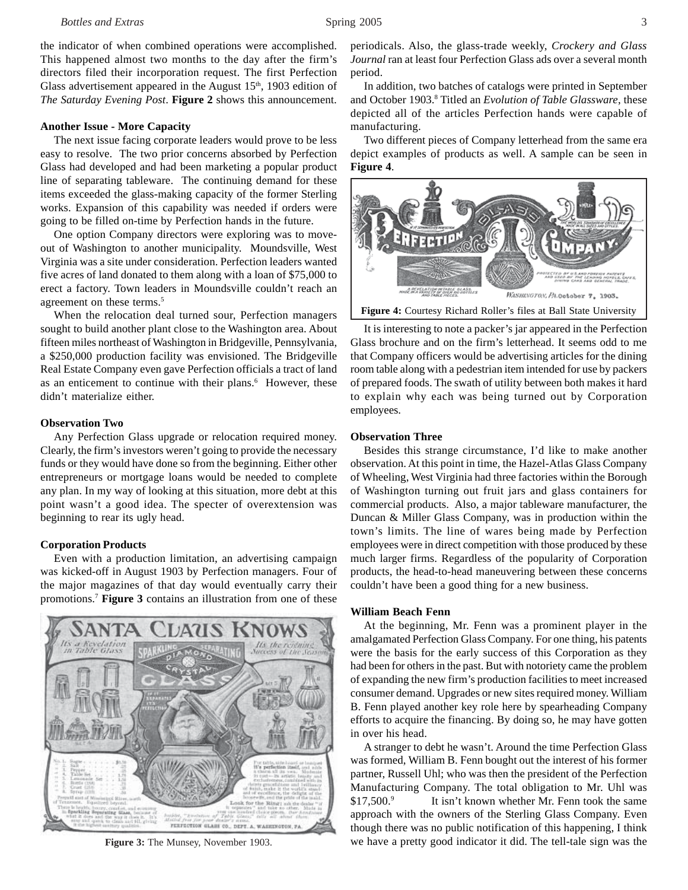the indicator of when combined operations were accomplished. This happened almost two months to the day after the firm's directors filed their incorporation request. The first Perfection Glass advertisement appeared in the August  $15<sup>th</sup>$ , 1903 edition of *The Saturday Evening Post*. **Figure 2** shows this announcement.

#### **Another Issue - More Capacity**

The next issue facing corporate leaders would prove to be less easy to resolve. The two prior concerns absorbed by Perfection Glass had developed and had been marketing a popular product line of separating tableware. The continuing demand for these items exceeded the glass-making capacity of the former Sterling works. Expansion of this capability was needed if orders were going to be filled on-time by Perfection hands in the future.

One option Company directors were exploring was to moveout of Washington to another municipality. Moundsville, West Virginia was a site under consideration. Perfection leaders wanted five acres of land donated to them along with a loan of \$75,000 to erect a factory. Town leaders in Moundsville couldn't reach an agreement on these terms.<sup>5</sup>

When the relocation deal turned sour, Perfection managers sought to build another plant close to the Washington area. About fifteen miles northeast of Washington in Bridgeville, Pennsylvania, a \$250,000 production facility was envisioned. The Bridgeville Real Estate Company even gave Perfection officials a tract of land as an enticement to continue with their plans.<sup>6</sup> However, these didn't materialize either.

#### **Observation Two**

Any Perfection Glass upgrade or relocation required money. Clearly, the firm's investors weren't going to provide the necessary funds or they would have done so from the beginning. Either other entrepreneurs or mortgage loans would be needed to complete any plan. In my way of looking at this situation, more debt at this point wasn't a good idea. The specter of overextension was beginning to rear its ugly head.

#### **Corporation Products**

Even with a production limitation, an advertising campaign was kicked-off in August 1903 by Perfection managers. Four of the major magazines of that day would eventually carry their promotions.7 **Figure 3** contains an illustration from one of these



**Figure 3:** The Munsey, November 1903.

periodicals. Also, the glass-trade weekly, *Crockery and Glass Journal* ran at least four Perfection Glass ads over a several month period.

In addition, two batches of catalogs were printed in September and October 1903.8 Titled an *Evolution of Table Glassware*, these depicted all of the articles Perfection hands were capable of manufacturing.

Two different pieces of Company letterhead from the same era depict examples of products as well. A sample can be seen in **Figure 4**.



**Figure 4:** Courtesy Richard Roller's files at Ball State University

It is interesting to note a packer's jar appeared in the Perfection Glass brochure and on the firm's letterhead. It seems odd to me that Company officers would be advertising articles for the dining room table along with a pedestrian item intended for use by packers of prepared foods. The swath of utility between both makes it hard to explain why each was being turned out by Corporation employees.

#### **Observation Three**

Besides this strange circumstance, I'd like to make another observation. At this point in time, the Hazel-Atlas Glass Company of Wheeling, West Virginia had three factories within the Borough of Washington turning out fruit jars and glass containers for commercial products. Also, a major tableware manufacturer, the Duncan & Miller Glass Company, was in production within the town's limits. The line of wares being made by Perfection employees were in direct competition with those produced by these much larger firms. Regardless of the popularity of Corporation products, the head-to-head maneuvering between these concerns couldn't have been a good thing for a new business.

#### **William Beach Fenn**

At the beginning, Mr. Fenn was a prominent player in the amalgamated Perfection Glass Company. For one thing, his patents were the basis for the early success of this Corporation as they had been for others in the past. But with notoriety came the problem of expanding the new firm's production facilities to meet increased consumer demand. Upgrades or new sites required money. William B. Fenn played another key role here by spearheading Company efforts to acquire the financing. By doing so, he may have gotten in over his head.

A stranger to debt he wasn't. Around the time Perfection Glass was formed, William B. Fenn bought out the interest of his former partner, Russell Uhl; who was then the president of the Perfection Manufacturing Company. The total obligation to Mr. Uhl was \$17,500.<sup>9</sup> It isn't known whether Mr. Fenn took the same approach with the owners of the Sterling Glass Company. Even though there was no public notification of this happening, I think we have a pretty good indicator it did. The tell-tale sign was the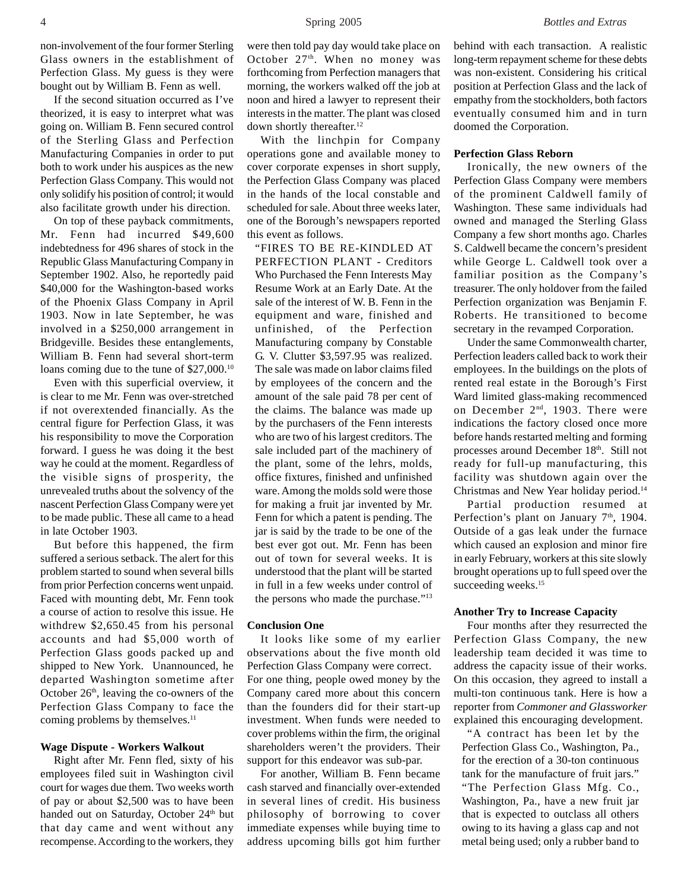non-involvement of the four former Sterling Glass owners in the establishment of Perfection Glass. My guess is they were bought out by William B. Fenn as well.

If the second situation occurred as I've theorized, it is easy to interpret what was going on. William B. Fenn secured control of the Sterling Glass and Perfection Manufacturing Companies in order to put both to work under his auspices as the new Perfection Glass Company. This would not only solidify his position of control; it would also facilitate growth under his direction.

On top of these payback commitments, Mr. Fenn had incurred \$49,600 indebtedness for 496 shares of stock in the Republic Glass Manufacturing Company in September 1902. Also, he reportedly paid \$40,000 for the Washington-based works of the Phoenix Glass Company in April 1903. Now in late September, he was involved in a \$250,000 arrangement in Bridgeville. Besides these entanglements, William B. Fenn had several short-term loans coming due to the tune of \$27,000.<sup>10</sup>

Even with this superficial overview, it is clear to me Mr. Fenn was over-stretched if not overextended financially. As the central figure for Perfection Glass, it was his responsibility to move the Corporation forward. I guess he was doing it the best way he could at the moment. Regardless of the visible signs of prosperity, the unrevealed truths about the solvency of the nascent Perfection Glass Company were yet to be made public. These all came to a head in late October 1903.

But before this happened, the firm suffered a serious setback. The alert for this problem started to sound when several bills from prior Perfection concerns went unpaid. Faced with mounting debt, Mr. Fenn took a course of action to resolve this issue. He withdrew \$2,650.45 from his personal accounts and had \$5,000 worth of Perfection Glass goods packed up and shipped to New York. Unannounced, he departed Washington sometime after October 26<sup>th</sup>, leaving the co-owners of the Perfection Glass Company to face the coming problems by themselves.<sup>11</sup>

#### **Wage Dispute - Workers Walkout**

Right after Mr. Fenn fled, sixty of his employees filed suit in Washington civil court for wages due them. Two weeks worth of pay or about \$2,500 was to have been handed out on Saturday, October 24<sup>th</sup> but that day came and went without any recompense. According to the workers, they

were then told pay day would take place on October  $27<sup>th</sup>$ . When no money was forthcoming from Perfection managers that morning, the workers walked off the job at noon and hired a lawyer to represent their interests in the matter. The plant was closed down shortly thereafter.<sup>12</sup>

With the linchpin for Company operations gone and available money to cover corporate expenses in short supply, the Perfection Glass Company was placed in the hands of the local constable and scheduled for sale. About three weeks later, one of the Borough's newspapers reported this event as follows.

"FIRES TO BE RE-KINDLED AT PERFECTION PLANT - Creditors Who Purchased the Fenn Interests May Resume Work at an Early Date. At the sale of the interest of W. B. Fenn in the equipment and ware, finished and unfinished, of the Perfection Manufacturing company by Constable G. V. Clutter \$3,597.95 was realized. The sale was made on labor claims filed by employees of the concern and the amount of the sale paid 78 per cent of the claims. The balance was made up by the purchasers of the Fenn interests who are two of his largest creditors. The sale included part of the machinery of the plant, some of the lehrs, molds, office fixtures, finished and unfinished ware. Among the molds sold were those for making a fruit jar invented by Mr. Fenn for which a patent is pending. The jar is said by the trade to be one of the best ever got out. Mr. Fenn has been out of town for several weeks. It is understood that the plant will be started in full in a few weeks under control of the persons who made the purchase."13

# **Conclusion One**

It looks like some of my earlier observations about the five month old Perfection Glass Company were correct. For one thing, people owed money by the Company cared more about this concern than the founders did for their start-up investment. When funds were needed to cover problems within the firm, the original shareholders weren't the providers. Their support for this endeavor was sub-par.

For another, William B. Fenn became cash starved and financially over-extended in several lines of credit. His business philosophy of borrowing to cover immediate expenses while buying time to address upcoming bills got him further behind with each transaction. A realistic long-term repayment scheme for these debts was non-existent. Considering his critical position at Perfection Glass and the lack of empathy from the stockholders, both factors eventually consumed him and in turn doomed the Corporation.

#### **Perfection Glass Reborn**

Ironically, the new owners of the Perfection Glass Company were members of the prominent Caldwell family of Washington. These same individuals had owned and managed the Sterling Glass Company a few short months ago. Charles S. Caldwell became the concern's president while George L. Caldwell took over a familiar position as the Company's treasurer. The only holdover from the failed Perfection organization was Benjamin F. Roberts. He transitioned to become secretary in the revamped Corporation.

Under the same Commonwealth charter, Perfection leaders called back to work their employees. In the buildings on the plots of rented real estate in the Borough's First Ward limited glass-making recommenced on December 2<sup>nd</sup>, 1903. There were indications the factory closed once more before hands restarted melting and forming processes around December 18th. Still not ready for full-up manufacturing, this facility was shutdown again over the Christmas and New Year holiday period.14

Partial production resumed at Perfection's plant on January 7<sup>th</sup>, 1904. Outside of a gas leak under the furnace which caused an explosion and minor fire in early February, workers at this site slowly brought operations up to full speed over the succeeding weeks.<sup>15</sup>

#### **Another Try to Increase Capacity**

Four months after they resurrected the Perfection Glass Company, the new leadership team decided it was time to address the capacity issue of their works. On this occasion, they agreed to install a multi-ton continuous tank. Here is how a reporter from *Commoner and Glassworker* explained this encouraging development.

"A contract has been let by the Perfection Glass Co., Washington, Pa., for the erection of a 30-ton continuous tank for the manufacture of fruit jars." "The Perfection Glass Mfg. Co., Washington, Pa., have a new fruit jar that is expected to outclass all others owing to its having a glass cap and not metal being used; only a rubber band to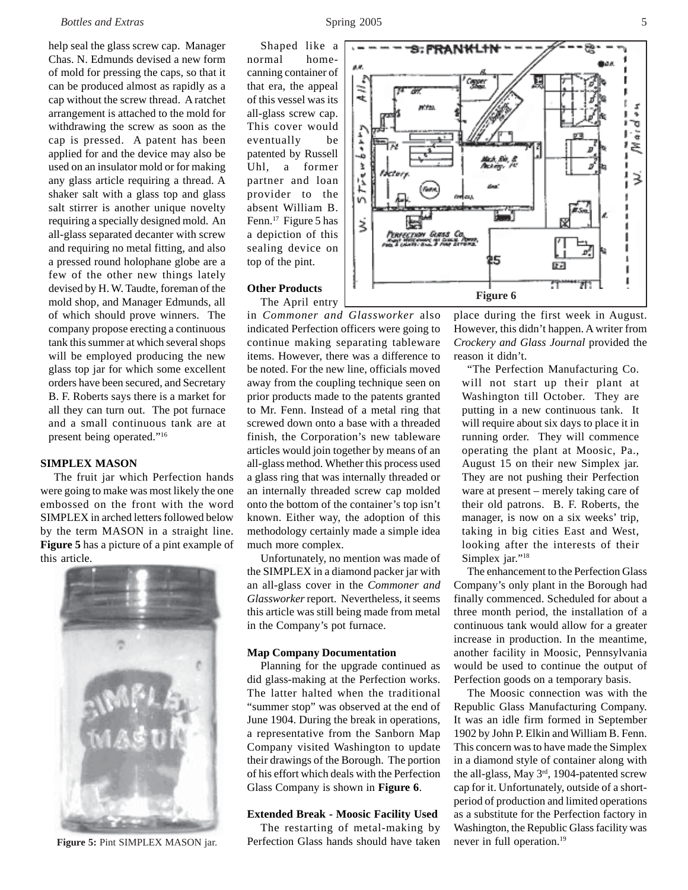# *Bottles and Extras* Spring 2005 5

help seal the glass screw cap. Manager Chas. N. Edmunds devised a new form of mold for pressing the caps, so that it can be produced almost as rapidly as a cap without the screw thread. A ratchet arrangement is attached to the mold for withdrawing the screw as soon as the cap is pressed. A patent has been applied for and the device may also be used on an insulator mold or for making any glass article requiring a thread. A shaker salt with a glass top and glass salt stirrer is another unique novelty requiring a specially designed mold. An all-glass separated decanter with screw and requiring no metal fitting, and also a pressed round holophane globe are a few of the other new things lately devised by H. W. Taudte, foreman of the mold shop, and Manager Edmunds, all of which should prove winners. The company propose erecting a continuous tank this summer at which several shops will be employed producing the new glass top jar for which some excellent orders have been secured, and Secretary B. F. Roberts says there is a market for all they can turn out. The pot furnace and a small continuous tank are at present being operated."16

# **SIMPLEX MASON**

The fruit jar which Perfection hands were going to make was most likely the one embossed on the front with the word SIMPLEX in arched letters followed below by the term MASON in a straight line. **Figure 5** has a picture of a pint example of this article.



Shaped like a normal homecanning container of that era, the appeal of this vessel was its all-glass screw cap. This cover would eventually be patented by Russell Uhl, a former partner and loan provider to the absent William B. Fenn.<sup>17</sup> Figure 5 has a depiction of this sealing device on top of the pint.

# **Other Products**

The April entry

in *Commoner and Glassworker* also indicated Perfection officers were going to continue making separating tableware items. However, there was a difference to be noted. For the new line, officials moved away from the coupling technique seen on prior products made to the patents granted to Mr. Fenn. Instead of a metal ring that screwed down onto a base with a threaded finish, the Corporation's new tableware articles would join together by means of an all-glass method. Whether this process used a glass ring that was internally threaded or an internally threaded screw cap molded onto the bottom of the container's top isn't known. Either way, the adoption of this methodology certainly made a simple idea much more complex.

Unfortunately, no mention was made of the SIMPLEX in a diamond packer jar with an all-glass cover in the *Commoner and Glassworker* report. Nevertheless, it seems this article was still being made from metal in the Company's pot furnace.

# **Map Company Documentation**

Planning for the upgrade continued as did glass-making at the Perfection works. The latter halted when the traditional "summer stop" was observed at the end of June 1904. During the break in operations, a representative from the Sanborn Map Company visited Washington to update their drawings of the Borough. The portion of his effort which deals with the Perfection Glass Company is shown in **Figure 6**.

#### **Extended Break - Moosic Facility Used**

The restarting of metal-making by Figure 5: Pint SIMPLEX MASON jar. Perfection Glass hands should have taken never in full operation.<sup>19</sup>



place during the first week in August. However, this didn't happen. A writer from *Crockery and Glass Journal* provided the reason it didn't.

"The Perfection Manufacturing Co. will not start up their plant at Washington till October. They are putting in a new continuous tank. It will require about six days to place it in running order. They will commence operating the plant at Moosic, Pa., August 15 on their new Simplex jar. They are not pushing their Perfection ware at present – merely taking care of their old patrons. B. F. Roberts, the manager, is now on a six weeks' trip, taking in big cities East and West, looking after the interests of their Simplex jar."<sup>18</sup>

The enhancement to the Perfection Glass Company's only plant in the Borough had finally commenced. Scheduled for about a three month period, the installation of a continuous tank would allow for a greater increase in production. In the meantime, another facility in Moosic, Pennsylvania would be used to continue the output of Perfection goods on a temporary basis.

The Moosic connection was with the Republic Glass Manufacturing Company. It was an idle firm formed in September 1902 by John P. Elkin and William B. Fenn. This concern was to have made the Simplex in a diamond style of container along with the all-glass, May 3<sup>rd</sup>, 1904-patented screw cap for it. Unfortunately, outside of a shortperiod of production and limited operations as a substitute for the Perfection factory in Washington, the Republic Glass facility was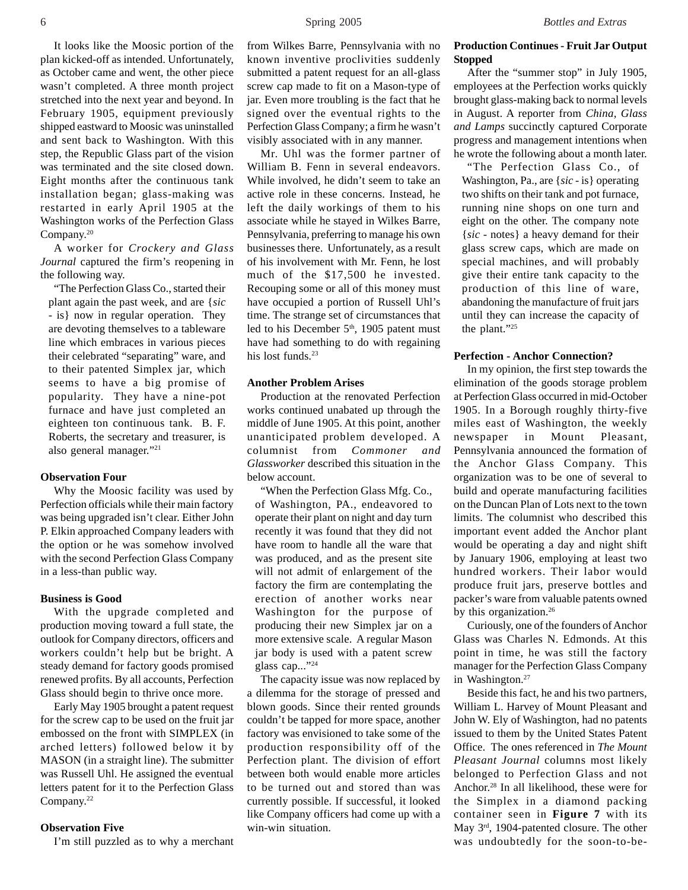It looks like the Moosic portion of the plan kicked-off as intended. Unfortunately, as October came and went, the other piece wasn't completed. A three month project stretched into the next year and beyond. In February 1905, equipment previously shipped eastward to Moosic was uninstalled and sent back to Washington. With this step, the Republic Glass part of the vision was terminated and the site closed down. Eight months after the continuous tank installation began; glass-making was restarted in early April 1905 at the Washington works of the Perfection Glass Company.20

A worker for *Crockery and Glass Journal* captured the firm's reopening in the following way.

"The Perfection Glass Co., started their plant again the past week, and are {*sic* - is} now in regular operation. They are devoting themselves to a tableware line which embraces in various pieces their celebrated "separating" ware, and to their patented Simplex jar, which seems to have a big promise of popularity. They have a nine-pot furnace and have just completed an eighteen ton continuous tank. B. F. Roberts, the secretary and treasurer, is also general manager."21

#### **Observation Four**

Why the Moosic facility was used by Perfection officials while their main factory was being upgraded isn't clear. Either John P. Elkin approached Company leaders with the option or he was somehow involved with the second Perfection Glass Company in a less-than public way.

#### **Business is Good**

With the upgrade completed and production moving toward a full state, the outlook for Company directors, officers and workers couldn't help but be bright. A steady demand for factory goods promised renewed profits. By all accounts, Perfection Glass should begin to thrive once more.

Early May 1905 brought a patent request for the screw cap to be used on the fruit jar embossed on the front with SIMPLEX (in arched letters) followed below it by MASON (in a straight line). The submitter was Russell Uhl. He assigned the eventual letters patent for it to the Perfection Glass Company.<sup>22</sup>

# **Observation Five**

I'm still puzzled as to why a merchant

Mr. Uhl was the former partner of William B. Fenn in several endeavors. While involved, he didn't seem to take an active role in these concerns. Instead, he left the daily workings of them to his associate while he stayed in Wilkes Barre, Pennsylvania, preferring to manage his own businesses there. Unfortunately, as a result of his involvement with Mr. Fenn, he lost much of the \$17,500 he invested. Recouping some or all of this money must have occupied a portion of Russell Uhl's time. The strange set of circumstances that led to his December  $5<sup>th</sup>$ , 1905 patent must have had something to do with regaining his lost funds.<sup>23</sup>

# **Another Problem Arises**

Production at the renovated Perfection works continued unabated up through the middle of June 1905. At this point, another unanticipated problem developed. A columnist from *Commoner and Glassworker* described this situation in the below account.

"When the Perfection Glass Mfg. Co., of Washington, PA., endeavored to operate their plant on night and day turn recently it was found that they did not have room to handle all the ware that was produced, and as the present site will not admit of enlargement of the factory the firm are contemplating the erection of another works near Washington for the purpose of producing their new Simplex jar on a more extensive scale. A regular Mason jar body is used with a patent screw glass cap..."24

The capacity issue was now replaced by a dilemma for the storage of pressed and blown goods. Since their rented grounds couldn't be tapped for more space, another factory was envisioned to take some of the production responsibility off of the Perfection plant. The division of effort between both would enable more articles to be turned out and stored than was currently possible. If successful, it looked like Company officers had come up with a win-win situation.

# **Production Continues - Fruit Jar Output Stopped**

After the "summer stop" in July 1905, employees at the Perfection works quickly brought glass-making back to normal levels in August. A reporter from *China, Glass and Lamps* succinctly captured Corporate progress and management intentions when he wrote the following about a month later.

"The Perfection Glass Co., of Washington, Pa., are {*sic* - is} operating two shifts on their tank and pot furnace, running nine shops on one turn and eight on the other. The company note {*sic* - notes} a heavy demand for their glass screw caps, which are made on special machines, and will probably give their entire tank capacity to the production of this line of ware, abandoning the manufacture of fruit jars until they can increase the capacity of the plant."25

#### **Perfection - Anchor Connection?**

In my opinion, the first step towards the elimination of the goods storage problem at Perfection Glass occurred in mid-October 1905. In a Borough roughly thirty-five miles east of Washington, the weekly newspaper in Mount Pleasant, Pennsylvania announced the formation of the Anchor Glass Company. This organization was to be one of several to build and operate manufacturing facilities on the Duncan Plan of Lots next to the town limits. The columnist who described this important event added the Anchor plant would be operating a day and night shift by January 1906, employing at least two hundred workers. Their labor would produce fruit jars, preserve bottles and packer's ware from valuable patents owned by this organization.<sup>26</sup>

Curiously, one of the founders of Anchor Glass was Charles N. Edmonds. At this point in time, he was still the factory manager for the Perfection Glass Company in Washington.<sup>27</sup>

Beside this fact, he and his two partners, William L. Harvey of Mount Pleasant and John W. Ely of Washington, had no patents issued to them by the United States Patent Office. The ones referenced in *The Mount Pleasant Journal* columns most likely belonged to Perfection Glass and not Anchor.28 In all likelihood, these were for the Simplex in a diamond packing container seen in **Figure 7** with its May 3rd, 1904-patented closure. The other was undoubtedly for the soon-to-be-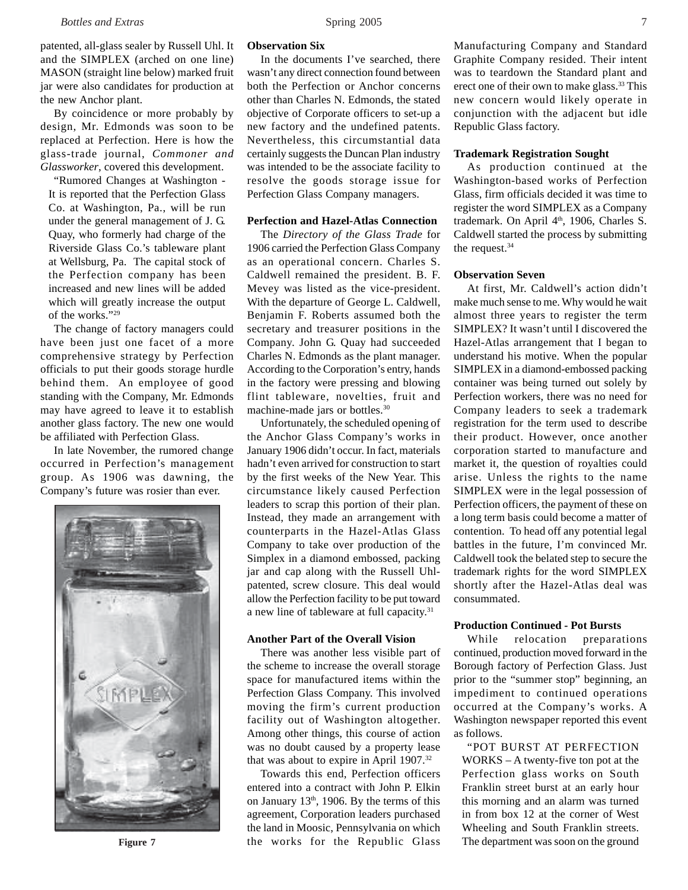patented, all-glass sealer by Russell Uhl. It and the SIMPLEX (arched on one line) MASON (straight line below) marked fruit jar were also candidates for production at the new Anchor plant.

By coincidence or more probably by design, Mr. Edmonds was soon to be replaced at Perfection. Here is how the glass-trade journal, *Commoner and Glassworker*, covered this development.

"Rumored Changes at Washington - It is reported that the Perfection Glass Co. at Washington, Pa., will be run under the general management of J. G. Quay, who formerly had charge of the Riverside Glass Co.'s tableware plant at Wellsburg, Pa. The capital stock of the Perfection company has been increased and new lines will be added which will greatly increase the output of the works."29

The change of factory managers could have been just one facet of a more comprehensive strategy by Perfection officials to put their goods storage hurdle behind them. An employee of good standing with the Company, Mr. Edmonds may have agreed to leave it to establish another glass factory. The new one would be affiliated with Perfection Glass.

In late November, the rumored change occurred in Perfection's management group. As 1906 was dawning, the Company's future was rosier than ever.



# **Observation Six**

In the documents I've searched, there wasn't any direct connection found between both the Perfection or Anchor concerns other than Charles N. Edmonds, the stated objective of Corporate officers to set-up a new factory and the undefined patents. Nevertheless, this circumstantial data certainly suggests the Duncan Plan industry was intended to be the associate facility to resolve the goods storage issue for Perfection Glass Company managers.

#### **Perfection and Hazel-Atlas Connection**

The *Directory of the Glass Trade* for 1906 carried the Perfection Glass Company as an operational concern. Charles S. Caldwell remained the president. B. F. Mevey was listed as the vice-president. With the departure of George L. Caldwell, Benjamin F. Roberts assumed both the secretary and treasurer positions in the Company. John G. Quay had succeeded Charles N. Edmonds as the plant manager. According to the Corporation's entry, hands in the factory were pressing and blowing flint tableware, novelties, fruit and machine-made jars or bottles.<sup>30</sup>

Unfortunately, the scheduled opening of the Anchor Glass Company's works in January 1906 didn't occur. In fact, materials hadn't even arrived for construction to start by the first weeks of the New Year. This circumstance likely caused Perfection leaders to scrap this portion of their plan. Instead, they made an arrangement with counterparts in the Hazel-Atlas Glass Company to take over production of the Simplex in a diamond embossed, packing jar and cap along with the Russell Uhlpatented, screw closure. This deal would allow the Perfection facility to be put toward a new line of tableware at full capacity.<sup>31</sup>

# **Another Part of the Overall Vision**

There was another less visible part of the scheme to increase the overall storage space for manufactured items within the Perfection Glass Company. This involved moving the firm's current production facility out of Washington altogether. Among other things, this course of action was no doubt caused by a property lease that was about to expire in April 1907.32

Towards this end, Perfection officers entered into a contract with John P. Elkin on January  $13<sup>th</sup>$ , 1906. By the terms of this agreement, Corporation leaders purchased the land in Moosic, Pennsylvania on which **Figure 7** The department was soon on the ground the works for the Republic Glass The department was soon on the ground

Manufacturing Company and Standard Graphite Company resided. Their intent was to teardown the Standard plant and erect one of their own to make glass.<sup>33</sup> This new concern would likely operate in conjunction with the adjacent but idle Republic Glass factory.

# **Trademark Registration Sought**

As production continued at the Washington-based works of Perfection Glass, firm officials decided it was time to register the word SIMPLEX as a Company trademark. On April 4<sup>th</sup>, 1906, Charles S. Caldwell started the process by submitting the request.34

## **Observation Seven**

At first, Mr. Caldwell's action didn't make much sense to me. Why would he wait almost three years to register the term SIMPLEX? It wasn't until I discovered the Hazel-Atlas arrangement that I began to understand his motive. When the popular SIMPLEX in a diamond-embossed packing container was being turned out solely by Perfection workers, there was no need for Company leaders to seek a trademark registration for the term used to describe their product. However, once another corporation started to manufacture and market it, the question of royalties could arise. Unless the rights to the name SIMPLEX were in the legal possession of Perfection officers, the payment of these on a long term basis could become a matter of contention. To head off any potential legal battles in the future, I'm convinced Mr. Caldwell took the belated step to secure the trademark rights for the word SIMPLEX shortly after the Hazel-Atlas deal was consummated.

#### **Production Continued - Pot Bursts**

While relocation preparations continued, production moved forward in the Borough factory of Perfection Glass. Just prior to the "summer stop" beginning, an impediment to continued operations occurred at the Company's works. A Washington newspaper reported this event as follows.

"POT BURST AT PERFECTION WORKS – A twenty-five ton pot at the Perfection glass works on South Franklin street burst at an early hour this morning and an alarm was turned in from box 12 at the corner of West Wheeling and South Franklin streets.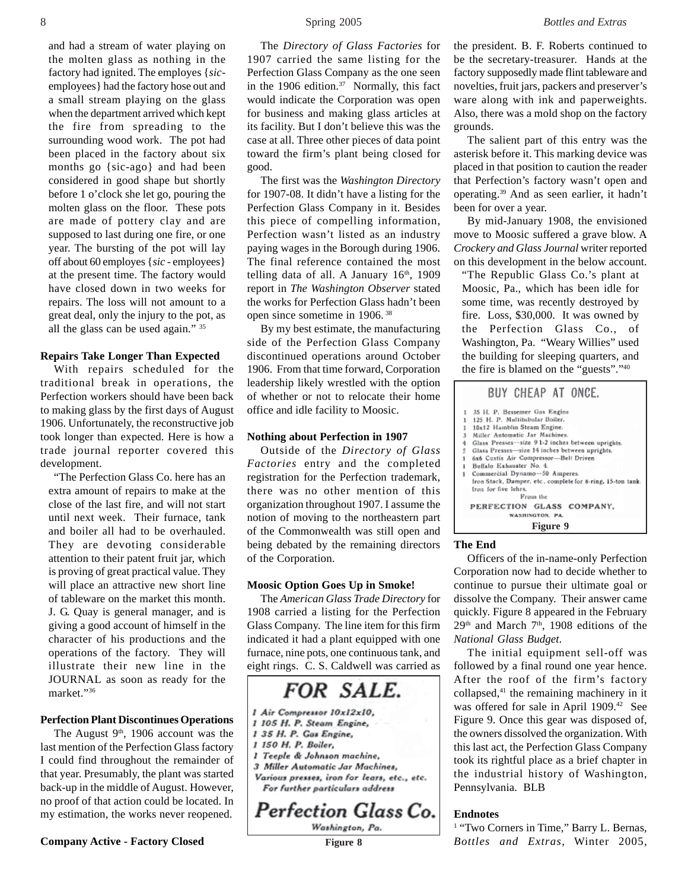and had a stream of water playing on the molten glass as nothing in the factory had ignited. The employes {*sic*employees} had the factory hose out and a small stream playing on the glass when the department arrived which kept the fire from spreading to the surrounding wood work. The pot had been placed in the factory about six months go {sic-ago} and had been considered in good shape but shortly before 1 o'clock she let go, pouring the molten glass on the floor. These pots are made of pottery clay and are supposed to last during one fire, or one year. The bursting of the pot will lay off about 60 employes {*sic* - employees} at the present time. The factory would have closed down in two weeks for repairs. The loss will not amount to a great deal, only the injury to the pot, as all the glass can be used again." 35

# **Repairs Take Longer Than Expected**

With repairs scheduled for the traditional break in operations, the Perfection workers should have been back to making glass by the first days of August 1906. Unfortunately, the reconstructive job took longer than expected. Here is how a trade journal reporter covered this development.

"The Perfection Glass Co. here has an extra amount of repairs to make at the close of the last fire, and will not start until next week. Their furnace, tank and boiler all had to be overhauled. They are devoting considerable attention to their patent fruit jar, which is proving of great practical value. They will place an attractive new short line of tableware on the market this month. J. G. Quay is general manager, and is giving a good account of himself in the character of his productions and the operations of the factory. They will illustrate their new line in the JOURNAL as soon as ready for the market."36

## **Perfection Plant Discontinues Operations**

The August  $9<sup>th</sup>$ , 1906 account was the last mention of the Perfection Glass factory I could find throughout the remainder of that year. Presumably, the plant was started back-up in the middle of August. However, no proof of that action could be located. In my estimation, the works never reopened.

**Company Active - Factory Closed Figure 8** 

The *Directory of Glass Factories* for 1907 carried the same listing for the Perfection Glass Company as the one seen in the 1906 edition. $37$  Normally, this fact would indicate the Corporation was open for business and making glass articles at its facility. But I don't believe this was the case at all. Three other pieces of data point toward the firm's plant being closed for good.

The first was the *Washington Directory* for 1907-08. It didn't have a listing for the Perfection Glass Company in it. Besides this piece of compelling information, Perfection wasn't listed as an industry paying wages in the Borough during 1906. The final reference contained the most telling data of all. A January  $16<sup>th</sup>$ , 1909 report in *The Washington Observer* stated the works for Perfection Glass hadn't been open since sometime in 1906. 38

By my best estimate, the manufacturing side of the Perfection Glass Company discontinued operations around October 1906. From that time forward, Corporation leadership likely wrestled with the option of whether or not to relocate their home office and idle facility to Moosic.

# **Nothing about Perfection in 1907**

Outside of the *Directory of Glass Factories* entry and the completed registration for the Perfection trademark, there was no other mention of this organization throughout 1907. I assume the notion of moving to the northeastern part of the Commonwealth was still open and being debated by the remaining directors of the Corporation.

#### **Moosic Option Goes Up in Smoke!**

The *American Glass Trade Directory* for 1908 carried a listing for the Perfection Glass Company. The line item for this firm indicated it had a plant equipped with one furnace, nine pots, one continuous tank, and eight rings. C. S. Caldwell was carried as



the president. B. F. Roberts continued to be the secretary-treasurer. Hands at the factory supposedly made flint tableware and novelties, fruit jars, packers and preserver's ware along with ink and paperweights. Also, there was a mold shop on the factory grounds.

The salient part of this entry was the asterisk before it. This marking device was placed in that position to caution the reader that Perfection's factory wasn't open and operating.39 And as seen earlier, it hadn't been for over a year.

By mid-January 1908, the envisioned move to Moosic suffered a grave blow. A *Crockery and Glass Journal* writer reported on this development in the below account.

"The Republic Glass Co.'s plant at Moosic, Pa., which has been idle for some time, was recently destroyed by fire. Loss, \$30,000. It was owned by the Perfection Glass Co., of Washington, Pa. "Weary Willies" used the building for sleeping quarters, and the fire is blamed on the "guests"."40

|                                                     | BUY CHEAP AT ONCE.                                          |  |  |  |  |
|-----------------------------------------------------|-------------------------------------------------------------|--|--|--|--|
| 1                                                   | 35 H. P. Bessemer Gas Engine.                               |  |  |  |  |
| 1                                                   | 125 H. P. Multitubular Boiler.                              |  |  |  |  |
| 10x12 Hamblin Steam Engine.<br>1                    |                                                             |  |  |  |  |
| Miller Automatic Jar Machines.<br>3                 |                                                             |  |  |  |  |
| 4                                                   | Glass Presses-size 91-2 inches between uprights.            |  |  |  |  |
| Glass Presses-size 14 inches between uprights.<br>5 |                                                             |  |  |  |  |
| 6x6 Custis Air Compressor-Belt Driven<br>1          |                                                             |  |  |  |  |
| Buffalo Exhauster No. 4.<br>1                       |                                                             |  |  |  |  |
| Commercial Dynamo-50 Amperes.<br>1                  |                                                             |  |  |  |  |
|                                                     | Iron Stack, Damper, etc., complete for 8-ring, 15-ton tank. |  |  |  |  |
|                                                     | Iron for five lehrs.                                        |  |  |  |  |
|                                                     | From the                                                    |  |  |  |  |
|                                                     | PERFECTION GLASS COMPANY.                                   |  |  |  |  |
| WASHINGTON, PA.                                     |                                                             |  |  |  |  |
|                                                     | Figure 9                                                    |  |  |  |  |

# **The End**

Officers of the in-name-only Perfection Corporation now had to decide whether to continue to pursue their ultimate goal or dissolve the Company. Their answer came quickly. Figure 8 appeared in the February  $29<sup>th</sup>$  and March  $7<sup>th</sup>$ , 1908 editions of the *National Glass Budget*.

The initial equipment sell-off was followed by a final round one year hence. After the roof of the firm's factory collapsed, $41$  the remaining machinery in it was offered for sale in April 1909.<sup>42</sup> See Figure 9. Once this gear was disposed of, the owners dissolved the organization. With this last act, the Perfection Glass Company took its rightful place as a brief chapter in the industrial history of Washington, Pennsylvania. BLB

# **Endnotes**

<sup>1</sup> "Two Corners in Time," Barry L. Bernas, *Bottles and Extras*, Winter 2005,